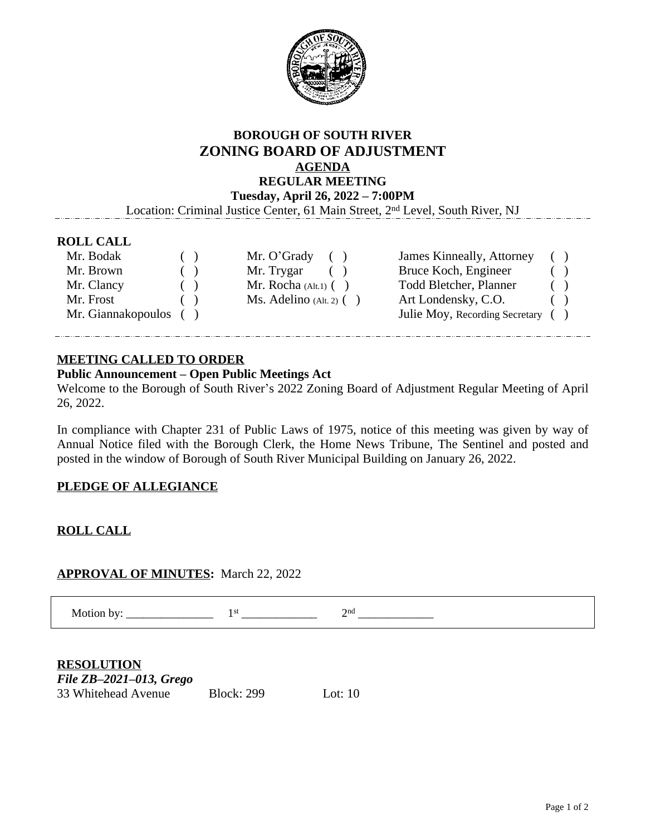

#### **BOROUGH OF SOUTH RIVER ZONING BOARD OF ADJUSTMENT AGENDA REGULAR MEETING Tuesday, April 26, 2022 – 7:00PM**

Location: Criminal Justice Center, 61 Main Street, 2nd Level, South River, NJ

#### **ROLL CALL**

| Mr. Bodak          | ( | Mr. O'Grady<br>(             | James Kinneally, Attorney      | ( |  |
|--------------------|---|------------------------------|--------------------------------|---|--|
| Mr. Brown          | ( | Mr. Trygar                   | Bruce Koch, Engineer           |   |  |
| Mr. Clancy         |   | Mr. Rocha $(Alt.1)$ $( )$    | <b>Todd Bletcher, Planner</b>  | ( |  |
| Mr. Frost          |   | $Ms.$ Adelino (Alt. 2) $( )$ | Art Londensky, C.O.            |   |  |
| Mr. Giannakopoulos |   |                              | Julie Moy, Recording Secretary |   |  |

#### **MEETING CALLED TO ORDER**

#### **Public Announcement – Open Public Meetings Act**

Welcome to the Borough of South River's 2022 Zoning Board of Adjustment Regular Meeting of April 26, 2022.

In compliance with Chapter 231 of Public Laws of 1975, notice of this meeting was given by way of Annual Notice filed with the Borough Clerk, the Home News Tribune, The Sentinel and posted and posted in the window of Borough of South River Municipal Building on January 26, 2022.

#### **PLEDGE OF ALLEGIANCE**

#### **ROLL CALL**

#### **APPROVAL OF MINUTES:** March 22, 2022

Motion by:  $\_\_$  $1<sup>st</sup>$  $\overline{\qquad \qquad }$  2  $2<sup>nd</sup>$  $\overline{\phantom{a}}$ 

| <b>RESOLUTION</b>          |                   |           |  |  |  |
|----------------------------|-------------------|-----------|--|--|--|
| File $ZB-2021-013$ , Grego |                   |           |  |  |  |
| 33 Whitehead Avenue        | <b>Block: 299</b> | Lot: $10$ |  |  |  |